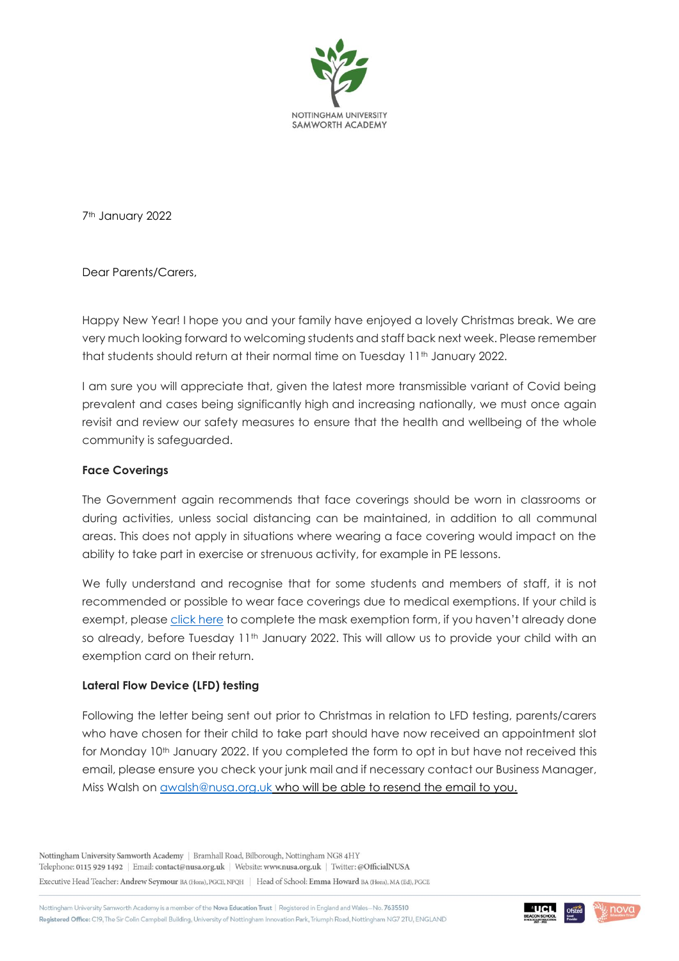

7th January 2022

Dear Parents/Carers,

Happy New Year! I hope you and your family have enjoyed a lovely Christmas break. We are very much looking forward to welcoming students and staff back next week. Please remember that students should return at their normal time on Tuesday 11<sup>th</sup> January 2022.

I am sure you will appreciate that, given the latest more transmissible variant of Covid being prevalent and cases being significantly high and increasing nationally, we must once again revisit and review our safety measures to ensure that the health and wellbeing of the whole community is safeguarded.

#### **Face Coverings**

The Government again recommends that face coverings should be worn in classrooms or during activities, unless social distancing can be maintained, in addition to all communal areas. This does not apply in situations where wearing a face covering would impact on the ability to take part in exercise or strenuous activity, for example in PE lessons.

We fully understand and recognise that for some students and members of staff, it is not recommended or possible to wear face coverings due to medical exemptions. If your child is exempt, please [click here](https://forms.office.com/r/1cJzymFkde) to complete the mask exemption form, if you haven't already done so already, before Tuesday 11<sup>th</sup> January 2022. This will allow us to provide your child with an exemption card on their return.

## **Lateral Flow Device (LFD) testing**

Following the letter being sent out prior to Christmas in relation to LFD testing, parents/carers who have chosen for their child to take part should have now received an appointment slot for Monday 10<sup>th</sup> January 2022. If you completed the form to opt in but have not received this email, please ensure you check your junk mail and if necessary contact our Business Manager, Miss Walsh on [awalsh@nusa.org.uk](mailto:awalsh@nusa.org.uk) who will be able to resend the email to you.

Nottingham University Samworth Academy | Bramhall Road, Bilborough, Nottingham NG8 4HY Telephone: 0115 929 1492 | Email: contact@nusa.org.uk | Website: www.nusa.org.uk | Twitter: @OfficialNUSA Executive Head Teacher: Andrew Seymour BA (Hons), PGCE, NPQH | Head of School: Emma Howard BA (Hons), MA (Ed), PGCE

Nottingham University Samworth Academy is a member of the Nova Education Trust | Registered in England and Wales-No. 7635510 Registered Office: C19, The Sir Colin Campbell Building, University of Nottingham Innovation Park, Triumph Road, Nottingham NG7 2TU, ENGLAND



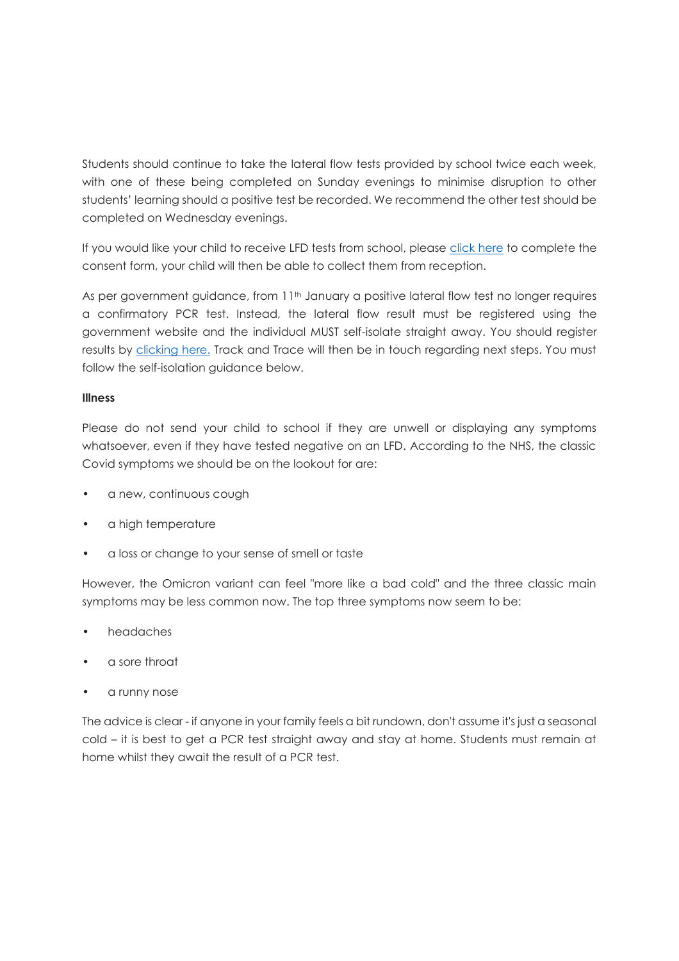Students should continue to take the lateral flow tests provided by school twice each week, with one of these being completed on Sunday evenings to minimise disruption to other students' learning should a positive test be recorded. We recommend the other test should be completed on Wednesday evenings.

If you would like your child to receive LFD tests from school, please [click here](https://forms.office.com/r/hBJxSpm7EF) to complete the consent form, your child will then be able to collect them from reception.

As per government guidance, from 11<sup>th</sup> January a positive lateral flow test no longer requires a confirmatory PCR test. Instead, the lateral flow result must be registered using the government website and the individual MUST self-isolate straight away. You should register results by [clicking here.](https://www.gov.uk/report-covid19-result) Track and Trace will then be in touch regarding next steps. You must follow the self-isolation guidance below.

## **Illness**

Please do not send your child to school if they are unwell or displaying any symptoms whatsoever, even if they have tested negative on an LFD. According to the NHS, the classic Covid symptoms we should be on the lookout for are:

- a new, continuous cough
- a high temperature
- a loss or change to your sense of smell or taste

However, the Omicron variant can feel "more like a bad cold" and the three classic main symptoms may be less common now. The top three symptoms now seem to be:

- headaches
- a sore throat
- a runny nose

The advice is clear - if anyone in your family feels a bit rundown, don't assume it's just a seasonal cold – it is best to get a PCR test straight away and stay at home. Students must remain at home whilst they await the result of a PCR test.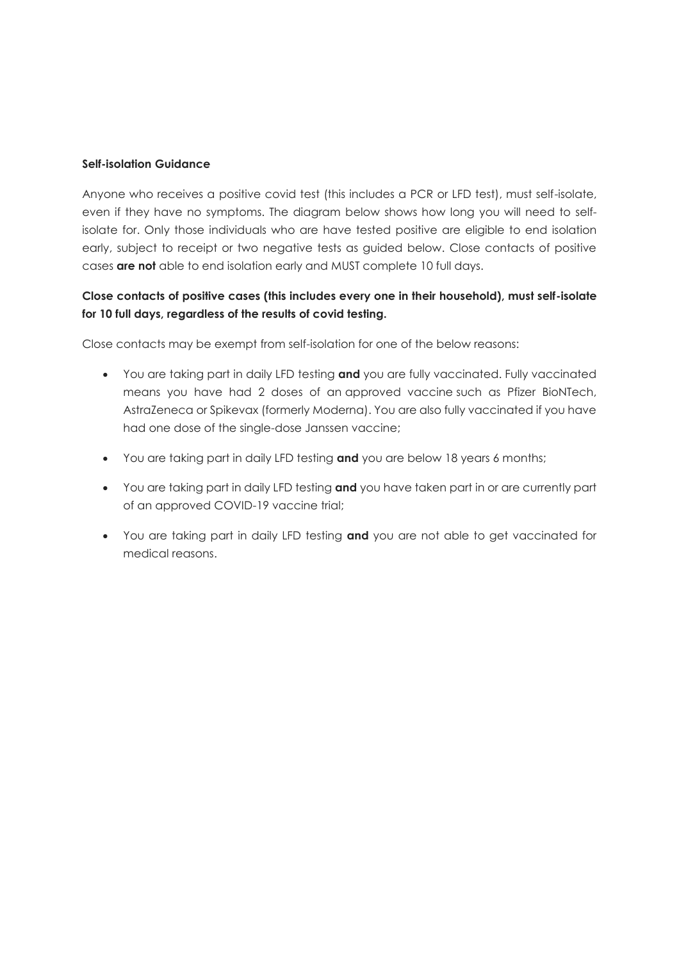#### **Self-isolation Guidance**

Anyone who receives a positive covid test (this includes a PCR or LFD test), must self-isolate, even if they have no symptoms. The diagram below shows how long you will need to selfisolate for. Only those individuals who are have tested positive are eligible to end isolation early, subject to receipt or two negative tests as guided below. Close contacts of positive cases **are not** able to end isolation early and MUST complete 10 full days.

# **Close contacts of positive cases (this includes every one in their household), must self-isolate for 10 full days, regardless of the results of covid testing.**

Close contacts may be exempt from self-isolation for one of the below reasons:

- You are taking part in daily LFD testing **and** you are fully vaccinated. Fully vaccinated means you have had 2 doses of an [approved vaccine](https://www.gov.uk/guidance/countries-with-approved-covid-19-vaccination-programmes-and-proof-of-vaccination) such as Pfizer BioNTech, AstraZeneca or Spikevax (formerly Moderna). You are also fully vaccinated if you have had one dose of the single-dose Janssen vaccine;
- You are taking part in daily LFD testing **and** you are below 18 years 6 months;
- You are taking part in daily LFD testing **and** you have taken part in or are currently part of an approved COVID-19 vaccine trial;
- You are taking part in daily LFD testing **and** you are not able to get vaccinated for medical reasons.